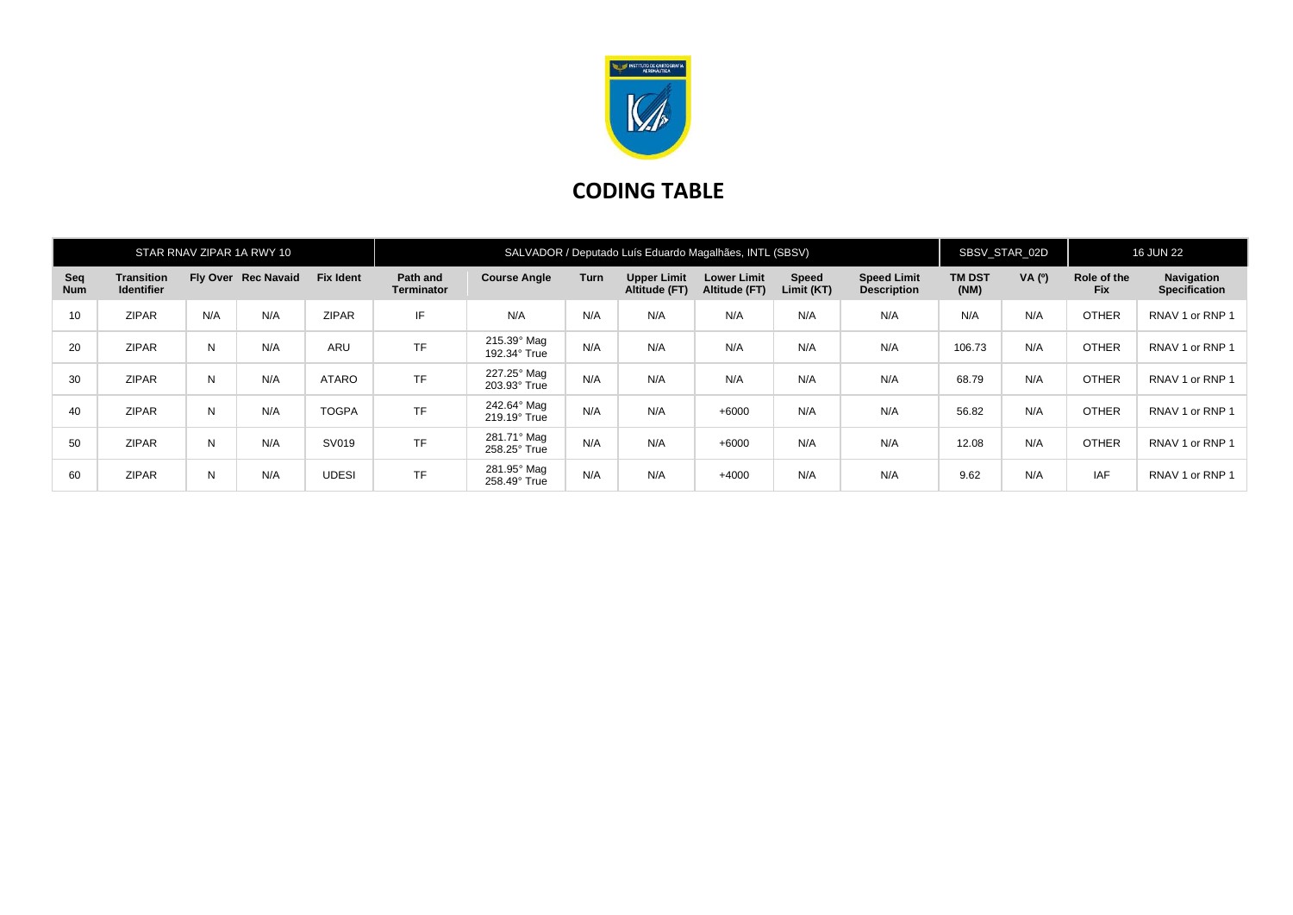

## **CODING TABLE**

| STAR RNAV ZIPAR 1A RWY 10 |                                 |     |                     |                  | SALVADOR / Deputado Luís Eduardo Magalhães, INTL (SBSV) |                             |      |                                     |                                     |                     |                                          | SBSV STAR 02D         |        | <b>16 JUN 22</b>          |                                    |
|---------------------------|---------------------------------|-----|---------------------|------------------|---------------------------------------------------------|-----------------------------|------|-------------------------------------|-------------------------------------|---------------------|------------------------------------------|-----------------------|--------|---------------------------|------------------------------------|
| Seq<br><b>Num</b>         | Transition<br><b>Identifier</b> |     | Fly Over Rec Navaid | <b>Fix Ident</b> | Path and<br><b>Terminator</b>                           | <b>Course Angle</b>         | Turn | <b>Upper Limit</b><br>Altitude (FT) | <b>Lower Limit</b><br>Altitude (FT) | Speed<br>Limit (KT) | <b>Speed Limit</b><br><b>Description</b> | <b>TM DST</b><br>(NM) | VA (0) | Role of the<br><b>Fix</b> | Navigation<br><b>Specification</b> |
| 10 <sup>°</sup>           | <b>ZIPAR</b>                    | N/A | N/A                 | <b>ZIPAR</b>     | IF                                                      | N/A                         | N/A  | N/A                                 | N/A                                 | N/A                 | N/A                                      | N/A                   | N/A    | <b>OTHER</b>              | RNAV 1 or RNP 1                    |
| 20                        | <b>ZIPAR</b>                    | N   | N/A                 | ARU              | <b>TF</b>                                               | 215.39° Mag<br>192.34° True | N/A  | N/A                                 | N/A                                 | N/A                 | N/A                                      | 106.73                | N/A    | <b>OTHER</b>              | RNAV 1 or RNP 1                    |
| 30                        | <b>ZIPAR</b>                    | N   | N/A                 | ATARO            | <b>TF</b>                                               | 227.25° Mag<br>203.93° True | N/A  | N/A                                 | N/A                                 | N/A                 | N/A                                      | 68.79                 | N/A    | <b>OTHER</b>              | RNAV 1 or RNP 1                    |
| 40                        | <b>ZIPAR</b>                    | N   | N/A                 | <b>TOGPA</b>     | <b>TF</b>                                               | 242.64° Mag<br>219.19° True | N/A  | N/A                                 | $+6000$                             | N/A                 | N/A                                      | 56.82                 | N/A    | <b>OTHER</b>              | RNAV 1 or RNP 1                    |
| 50                        | <b>ZIPAR</b>                    | N   | N/A                 | SV019            | <b>TF</b>                                               | 281.71° Mag<br>258.25° True | N/A  | N/A                                 | $+6000$                             | N/A                 | N/A                                      | 12.08                 | N/A    | <b>OTHER</b>              | RNAV 1 or RNP 1                    |
| 60                        | <b>ZIPAR</b>                    | N   | N/A                 | <b>UDESI</b>     | <b>TF</b>                                               | 281.95° Mag<br>258.49° True | N/A  | N/A                                 | $+4000$                             | N/A                 | N/A                                      | 9.62                  | N/A    | <b>IAF</b>                | RNAV 1 or RNP 1                    |